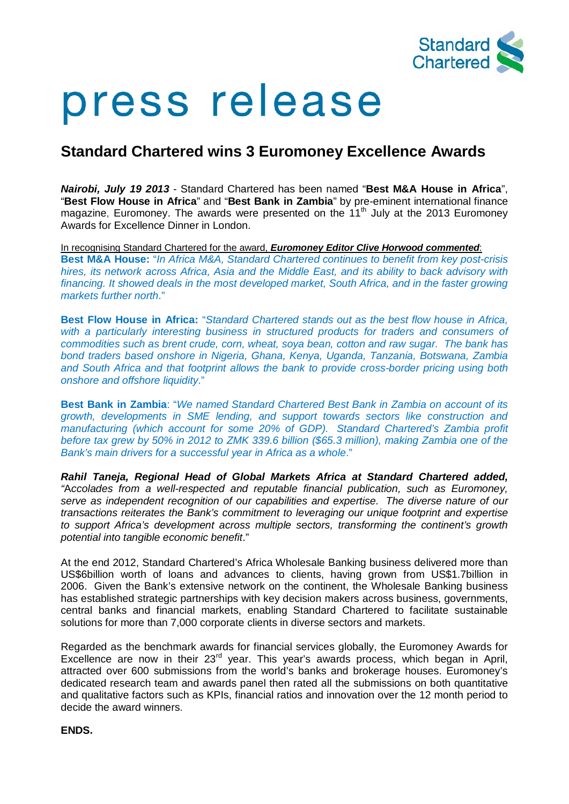

# press release

# **Standard Chartered wins 3 Euromoney Excellence Awards**

*Nairobi, July 19 2013* - Standard Chartered has been named "**Best M&A House in Africa**", "**Best Flow House in Africa**" and "**Best Bank in Zambia**" by pre-eminent international finance magazine, Euromoney. The awards were presented on the  $11<sup>th</sup>$  July at the 2013 Euromoney Awards for Excellence Dinner in London.

In recognising Standard Chartered for the award, *Euromoney Editor Clive Horwood commented*: **Best M&A House:** "*In Africa M&A, Standard Chartered continues to benefit from key post-crisis hires, its network across Africa, Asia and the Middle East, and its ability to back advisory with financing. It showed deals in the most developed market, South Africa, and in the faster growing markets further north*."

**Best Flow House in Africa:** "*Standard Chartered stands out as the best flow house in Africa,*  with a particularly interesting business in structured products for traders and consumers of *commodities such as brent crude, corn, wheat, soya bean, cotton and raw sugar. The bank has bond traders based onshore in Nigeria, Ghana, Kenya, Uganda, Tanzania, Botswana, Zambia and South Africa and that footprint allows the bank to provide cross-border pricing using both onshore and offshore liquidity*."

**Best Bank in Zambia**: "*We named Standard Chartered Best Bank in Zambia on account of its growth, developments in SME lending, and support towards sectors like construction and manufacturing (which account for some 20% of GDP). Standard Chartered's Zambia profit before tax grew by 50% in 2012 to ZMK 339.6 billion (\$65.3 million), making Zambia one of the Bank's main drivers for a successful year in Africa as a whole*."

*Rahil Taneja, Regional Head of Global Markets Africa at Standard Chartered added, "*A*ccolades from a well-respected and reputable financial publication, such as Euromoney, serve as independent recognition of our capabilities and expertise. The diverse nature of our transactions reiterates the Bank's commitment to leveraging our unique footprint and expertise to support Africa's development across multiple sectors, transforming the continent's growth potential into tangible economic benefit*."

At the end 2012, Standard Chartered's Africa Wholesale Banking business delivered more than US\$6billion worth of loans and advances to clients, having grown from US\$1.7billion in 2006. Given the Bank's extensive network on the continent, the Wholesale Banking business has established strategic partnerships with key decision makers across business, governments, central banks and financial markets, enabling Standard Chartered to facilitate sustainable solutions for more than 7,000 corporate clients in diverse sectors and markets.

Regarded as the benchmark awards for financial services globally, the Euromoney Awards for Excellence are now in their  $23<sup>rd</sup>$  year. This year's awards process, which began in April, attracted over 600 submissions from the world's banks and brokerage houses. Euromoney's dedicated research team and awards panel then rated all the submissions on both quantitative and qualitative factors such as KPIs, financial ratios and innovation over the 12 month period to decide the award winners.

**ENDS.**